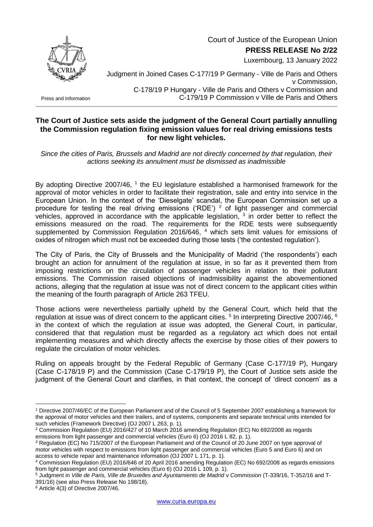

Court of Justice of the European Union

**PRESS RELEASE No 2/22**

Luxembourg, 13 January 2022

Press and Information

Judgment in Joined Cases C-177/19 P Germany - Ville de Paris and Others v Commission, C-178/19 P Hungary - Ville de Paris and Others v Commission and C-179/19 P Commission v Ville de Paris and Others

## **The Court of Justice sets aside the judgment of the General Court partially annulling the Commission regulation fixing emission values for real driving emissions tests for new light vehicles.**

*Since the cities of Paris, Brussels and Madrid are not directly concerned by that regulation, their actions seeking its annulment must be dismissed as inadmissible*

By adopting Directive 2007/46,  $1$  the EU legislature established a harmonised framework for the approval of motor vehicles in order to facilitate their registration, sale and entry into service in the European Union. In the context of the 'Dieselgate' scandal, the European Commission set up a procedure for testing the real driving emissions ('RDE')  $2$  of light passenger and commercial vehicles, approved in accordance with the applicable legislation,  $3$  in order better to reflect the emissions measured on the road. The requirements for the RDE tests were subsequently supplemented by Commission Regulation 2016/646, <sup>4</sup> which sets limit values for emissions of oxides of nitrogen which must not be exceeded during those tests ('the contested regulation').

The City of Paris, the City of Brussels and the Municipality of Madrid ('the respondents') each brought an action for annulment of the regulation at issue, in so far as it prevented them from imposing restrictions on the circulation of passenger vehicles in relation to their pollutant emissions. The Commission raised objections of inadmissibility against the abovementioned actions, alleging that the regulation at issue was not of direct concern to the applicant cities within the meaning of the fourth paragraph of Article 263 TFEU.

Those actions were nevertheless partially upheld by the General Court, which held that the regulation at issue was of direct concern to the applicant cities. <sup>5</sup> In interpreting Directive 2007/46, <sup>6</sup> in the context of which the regulation at issue was adopted, the General Court, in particular, considered that that regulation must be regarded as a regulatory act which does not entail implementing measures and which directly affects the exercise by those cities of their powers to regulate the circulation of motor vehicles.

Ruling on appeals brought by the Federal Republic of Germany (Case C-177/19 P), Hungary (Case C-178/19 P) and the Commission (Case C-179/19 P), the Court of Justice sets aside the judgment of the General Court and clarifies, in that context, the concept of 'direct concern' as a

1

<sup>1</sup> Directive 2007/46/EC of the European Parliament and of the Council of 5 September 2007 establishing a framework for the approval of motor vehicles and their trailers, and of systems, components and separate technical units intended for such vehicles (Framework Directive) (OJ 2007 L 263, p. 1).

<sup>2</sup> Commission Regulation (EU) 2016/427 of 10 March 2016 amending Regulation (EC) No 692/2008 as regards emissions from light passenger and commercial vehicles (Euro 6) (OJ 2016 L 82, p. 1).

<sup>3</sup> Regulation (EC) No 715/2007 of the European Parliament and of the Council of 20 June 2007 on type approval of motor vehicles with respect to emissions from light passenger and commercial vehicles (Euro 5 and Euro 6) and on access to vehicle repair and maintenance information (OJ 2007 L 171, p. 1).

<sup>4</sup> Commission Regulation (EU) 2016/646 of 20 April 2016 amending Regulation (EC) No 692/2008 as regards emissions from light passenger and commercial vehicles (Euro 6) (OJ 2016 L 109, p. 1).

<sup>5</sup> Judgment in *Ville de Paris, Ville de Bruxelles and Ayuntamiento de Madrid* v *Commission* (T-339/16, T-352/16 and T-391/16) (see also Press Release No 198/18).

 $6$  Article 4(3) of Directive 2007/46.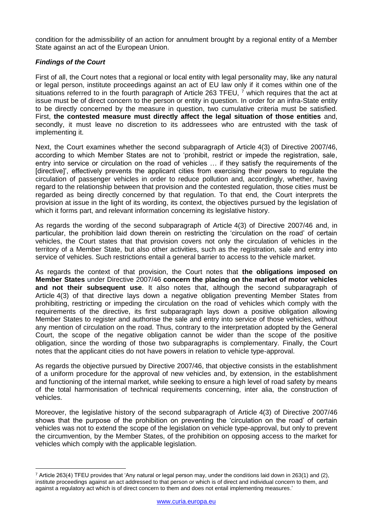condition for the admissibility of an action for annulment brought by a regional entity of a Member State against an act of the European Union.

## *Findings of the Court*

1

First of all, the Court notes that a regional or local entity with legal personality may, like any natural or legal person, institute proceedings against an act of EU law only if it comes within one of the situations referred to in the fourth paragraph of Article 263 TFEU,  $^7$  which requires that the act at issue must be of direct concern to the person or entity in question. In order for an infra-State entity to be directly concerned by the measure in question, two cumulative criteria must be satisfied. First, **the contested measure must directly affect the legal situation of those entities** and, secondly, it must leave no discretion to its addressees who are entrusted with the task of implementing it.

Next, the Court examines whether the second subparagraph of Article 4(3) of Directive 2007/46, according to which Member States are not to 'prohibit, restrict or impede the registration, sale, entry into service or circulation on the road of vehicles … if they satisfy the requirements of the [directive]', effectively prevents the applicant cities from exercising their powers to regulate the circulation of passenger vehicles in order to reduce pollution and, accordingly, whether, having regard to the relationship between that provision and the contested regulation, those cities must be regarded as being directly concerned by that regulation. To that end, the Court interprets the provision at issue in the light of its wording, its context, the objectives pursued by the legislation of which it forms part, and relevant information concerning its legislative history.

As regards the wording of the second subparagraph of Article 4(3) of Directive 2007/46 and, in particular, the prohibition laid down therein on restricting the 'circulation on the road' of certain vehicles, the Court states that that provision covers not only the circulation of vehicles in the territory of a Member State, but also other activities, such as the registration, sale and entry into service of vehicles. Such restrictions entail a general barrier to access to the vehicle market.

As regards the context of that provision, the Court notes that **the obligations imposed on Member States** under Directive 2007/46 **concern the placing on the market of motor vehicles and not their subsequent use**. It also notes that, although the second subparagraph of Article 4(3) of that directive lays down a negative obligation preventing Member States from prohibiting, restricting or impeding the circulation on the road of vehicles which comply with the requirements of the directive, its first subparagraph lays down a positive obligation allowing Member States to register and authorise the sale and entry into service of those vehicles, without any mention of circulation on the road. Thus, contrary to the interpretation adopted by the General Court, the scope of the negative obligation cannot be wider than the scope of the positive obligation, since the wording of those two subparagraphs is complementary. Finally, the Court notes that the applicant cities do not have powers in relation to vehicle type-approval.

As regards the objective pursued by Directive 2007/46, that objective consists in the establishment of a uniform procedure for the approval of new vehicles and, by extension, in the establishment and functioning of the internal market, while seeking to ensure a high level of road safety by means of the total harmonisation of technical requirements concerning, inter alia, the construction of vehicles.

Moreover, the legislative history of the second subparagraph of Article 4(3) of Directive 2007/46 shows that the purpose of the prohibition on preventing the 'circulation on the road' of certain vehicles was not to extend the scope of the legislation on vehicle type-approval, but only to prevent the circumvention, by the Member States, of the prohibition on opposing access to the market for vehicles which comply with the applicable legislation.

 $^7$  Article 263(4) TFEU provides that 'Any natural or legal person may, under the conditions laid down in 263(1) and (2), institute proceedings against an act addressed to that person or which is of direct and individual concern to them, and against a regulatory act which is of direct concern to them and does not entail implementing measures.'